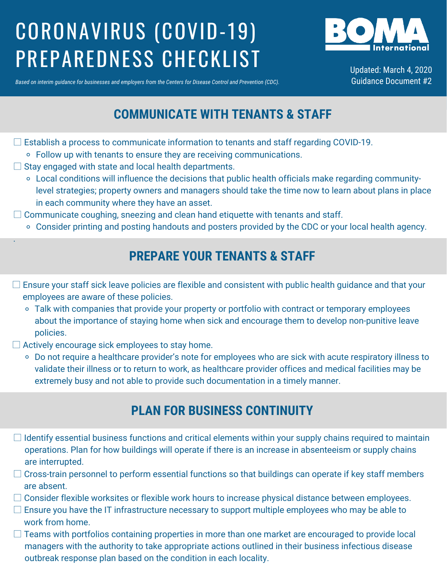# CORONAVIRUS (COVID-19) PREPAREDNESS CHECKLIST



Updated: March 4, 2020 Guidance Document #2

Based on interim quidance for businesses and employers from the Centers for Disease Control and Prevention (CDC).

# **COMMUNICATE WITH TENANTS & STAFF**

- Follow up with tenants to ensure they are receiving communications.  $\Box$  Establish a process to communicate information to tenants and staff regarding COVID-19.
- $\Box$  Stay engaged with state and local health departments.
	- Local conditions will influence the decisions that public health officials make regarding communitylevel strategies; property owners and managers should take the time now to learn about plans in place in each community where they have an asset.
- $\Box$  Communicate coughing, sneezing and clean hand etiquette with tenants and staff.
	- Consider printing and posting handouts and posters provided by the CDC or your local health agency.

### **PREPARE YOUR TENANTS & STAFF**

- □ Ensure your staff sick leave policies are flexible and consistent with public health guidance and that your employees are aware of these policies.
	- <sup>o</sup> Talk with companies that provide your property or portfolio with contract or temporary employees about the importance of staying home when sick and encourage them to develop non-punitive leave policies.
- $\Box$  Actively encourage sick employees to stay home.

.

Do not require a healthcare provider's note for employees who are sick with acute respiratory illness to validate their illness or to return to work, as healthcare provider offices and medical facilities may be extremely busy and not able to provide such documentation in a timely manner.

#### **PLAN FOR BUSINESS CONTINUITY**

- □ Identify essential business functions and critical elements within your supply chains required to maintain operations. Plan for how buildings will operate if there is an increase in absenteeism or supply chains are interrupted.
- $\Box$  Cross-train personnel to perform essential functions so that buildings can operate if key staff members are absent.
- □ Consider flexible worksites or flexible work hours to increase physical distance between employees.
- $\square$  Ensure you have the IT infrastructure necessary to support multiple employees who may be able to work from home.
- $\square$  Teams with portfolios containing properties in more than one market are encouraged to provide local managers with the authority to take appropriate actions outlined in their business infectious disease outbreak response plan based on the condition in each locality.